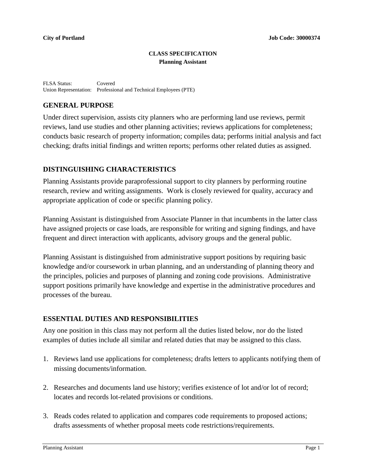#### **CLASS SPECIFICATION Planning Assistant**

FLSA Status: Covered Union Representation: Professional and Technical Employees (PTE)

## **GENERAL PURPOSE**

Under direct supervision, assists city planners who are performing land use reviews, permit reviews, land use studies and other planning activities; reviews applications for completeness; conducts basic research of property information; compiles data; performs initial analysis and fact checking; drafts initial findings and written reports; performs other related duties as assigned.

# **DISTINGUISHING CHARACTERISTICS**

Planning Assistants provide paraprofessional support to city planners by performing routine research, review and writing assignments. Work is closely reviewed for quality, accuracy and appropriate application of code or specific planning policy.

Planning Assistant is distinguished from Associate Planner in that incumbents in the latter class have assigned projects or case loads, are responsible for writing and signing findings, and have frequent and direct interaction with applicants, advisory groups and the general public.

Planning Assistant is distinguished from administrative support positions by requiring basic knowledge and/or coursework in urban planning, and an understanding of planning theory and the principles, policies and purposes of planning and zoning code provisions. Administrative support positions primarily have knowledge and expertise in the administrative procedures and processes of the bureau.

## **ESSENTIAL DUTIES AND RESPONSIBILITIES**

Any one position in this class may not perform all the duties listed below, nor do the listed examples of duties include all similar and related duties that may be assigned to this class.

- 1. Reviews land use applications for completeness; drafts letters to applicants notifying them of missing documents/information.
- 2. Researches and documents land use history; verifies existence of lot and/or lot of record; locates and records lot-related provisions or conditions.
- 3. Reads codes related to application and compares code requirements to proposed actions; drafts assessments of whether proposal meets code restrictions/requirements.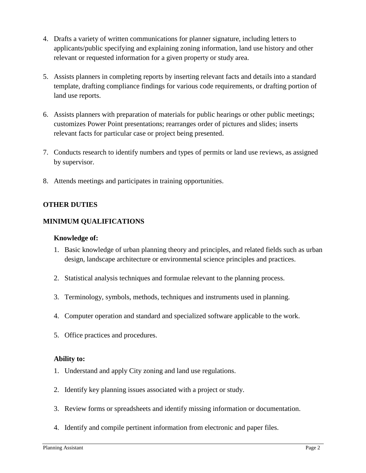- 4. Drafts a variety of written communications for planner signature, including letters to applicants/public specifying and explaining zoning information, land use history and other relevant or requested information for a given property or study area.
- 5. Assists planners in completing reports by inserting relevant facts and details into a standard template, drafting compliance findings for various code requirements, or drafting portion of land use reports.
- 6. Assists planners with preparation of materials for public hearings or other public meetings; customizes Power Point presentations; rearranges order of pictures and slides; inserts relevant facts for particular case or project being presented.
- 7. Conducts research to identify numbers and types of permits or land use reviews, as assigned by supervisor.
- 8. Attends meetings and participates in training opportunities.

## **OTHER DUTIES**

# **MINIMUM QUALIFICATIONS**

### **Knowledge of:**

- 1. Basic knowledge of urban planning theory and principles, and related fields such as urban design, landscape architecture or environmental science principles and practices.
- 2. Statistical analysis techniques and formulae relevant to the planning process.
- 3. Terminology, symbols, methods, techniques and instruments used in planning.
- 4. Computer operation and standard and specialized software applicable to the work.
- 5. Office practices and procedures.

## **Ability to:**

- 1. Understand and apply City zoning and land use regulations.
- 2. Identify key planning issues associated with a project or study.
- 3. Review forms or spreadsheets and identify missing information or documentation.
- 4. Identify and compile pertinent information from electronic and paper files.